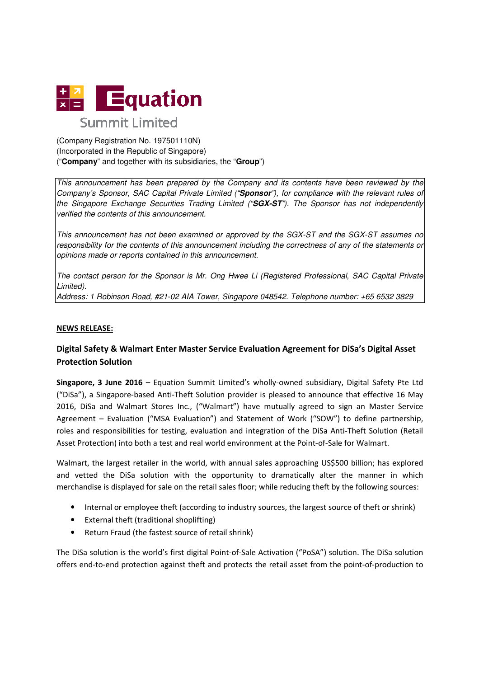

(Company Registration No. 197501110N) (Incorporated in the Republic of Singapore) (Company Registration No. 197501110N)<br>(Incorporated in the Republic of Singapore)<br>("**Company**" and together with its subsidiaries, the "**Group**")

This announcement has been prepared by the Company and its contents have Company's Sponsor, SAC Capital Private Limited ("**Sponsor**"), for compliance with the relevant rules of the Singapore Exchange Securities Trading Limited ("SGX-ST"). The Sponsor has not independently verified the contents of this announcement.

This announcement has not been examined or approved by the SGX-ST and the SGX-ST assumes no responsibility for the contents of this announcement including the correctness of any of the statements or opinions made or reports contained in this announcement.

The contact person for the Sponsor is Mr. Ong Hwee Li (Registered Professional, SAC Capital Private Limited).

Address: 1 Robinson Road, #21-02 AIA Tower, Singapore 048542. Telephone number: +65 6532 3829

## NEWS RELEASE:

# Digital Safety & Walmart Enter Master Service Evaluation Agreement for DiSa's Digital Asset Protection Solution

Singapore, 3 June 2016 - Equation Summit Limited's wholly-owned subsidiary, Digital Safety Pte Ltd ("DiSa"), a Singapore-based Anti-Theft Solution provider is pleased to announce that effective 16 May 2016, DiSa and Walmart Stores Inc., ("Walmart") have mutually agreed to sign an Master Service Agreement - Evaluation ("MSA Evaluation") and Statement of Work ("SOW") to define partnership, roles and responsibilities for testing, evaluation and integration of the DiSa Anti-Theft Solution (Retail Asset Protection) into both a test and real world environment at the Point-of-Sale for Walmart. enomit has been prepared by the Compary and its contents have been reviewed by the<br>points, SAC Capital Private Limited ("Sporsor"), for compliance with the relevant rules of<br>endange Securities Trading Limited ("Sporsor"),

Asset Protection) into both a test and real world environment at the Point-of-Sale for Walmart.<br>Walmart, the largest retailer in the world, with annual sales approaching US\$500 billion; has explored and vetted the DiSa solution with the opportunity to dramatically alter the manner in which<br>merchandise is displayed for sale on the retail sales floor; while reducing theft by the following sources: merchandise is displayed for sale on the retail sales floor; while reducing theft by the following sources:

- Internal or employee theft (according to industry sources, the largest source of theft or shrink)
- External theft (traditional shoplifting)
- Return Fraud (the fastest source of retail shrink)

• Return Fraud (the fastest source of retail shrink)<br>The DiSa solution is the world's first digital Point-of-Sale Activation ("PoSA") solution. The DiSa solution offers end-to-end protection against theft and protects the retail asset from the point ccording to industry sources, the largest source of theft or shrink)<br>plifting)<br>rce of retail shrink)<br>digital Point-of-Sale Activation ("PoSA") solution. The DiSa solution<br>theft and protects the retail asset from the point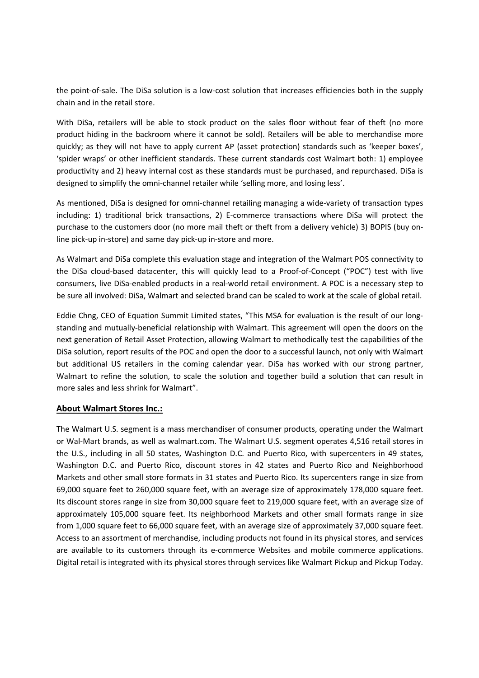the point-of-sale. The DiSa solution is a low-cost solution that increases efficiencies both in the supply chain and in the retail store.

With DiSa, retailers will be able to stock product on the sales floor without fear of theft (no more product hiding in the backroom where it cannot be sold). Retailers will be able to merchandise more quickly; as they will not have to apply current AP (asset protection) standards such as 'keeper boxes', 'spider wraps' or other inefficient standards. These current standards cost Walmart both: 1) employee productivity and 2) heavy internal cost as these standards must be purchased, and repurchased. DiSa is designed to simplify the omni-channel retailer while 'selling more, and losing less'.

As mentioned, DiSa is designed for omni-channel retailing managing a wide-variety of transaction types including: 1) traditional brick transactions, 2) E-commerce transactions where DiSa will protect the purchase to the customers door (no more mail theft or theft from a delivery vehicle) 3) BOPIS (buy online pick-up in-store) and same day pick-up in-store and more.

As Walmart and DiSa complete this evaluation stage and integration of the Walmart POS connectivity to the DiSa cloud-based datacenter, this will quickly lead to a Proof-of-Concept ("POC") test with live consumers, live DiSa-enabled products in a real-world retail environment. A POC is a necessary step to be sure all involved: DiSa, Walmart and selected brand can be scaled to work at the scale of global retail.

Eddie Chng, CEO of Equation Summit Limited states, "This MSA for evaluation is the result of our longstanding and mutually-beneficial relationship with Walmart. This agreement will open the doors on the next generation of Retail Asset Protection, allowing Walmart to methodically test the capabilities of the DiSa solution, report results of the POC and open the door to a successful launch, not only with Walmart but additional US retailers in the coming calendar year. DiSa has worked with our strong partner, Walmart to refine the solution, to scale the solution and together build a solution that can result in more sales and less shrink for Walmart".

## About Walmart Stores Inc.:

The Walmart U.S. segment is a mass merchandiser of consumer products, operating under the Walmart or Wal-Mart brands, as well as walmart.com. The Walmart U.S. segment operates 4,516 retail stores in the U.S., including in all 50 states, Washington D.C. and Puerto Rico, with supercenters in 49 states, Washington D.C. and Puerto Rico, discount stores in 42 states and Puerto Rico and Neighborhood Markets and other small store formats in 31 states and Puerto Rico. Its supercenters range in size from 69,000 square feet to 260,000 square feet, with an average size of approximately 178,000 square feet. Its discount stores range in size from 30,000 square feet to 219,000 square feet, with an average size of approximately 105,000 square feet. Its neighborhood Markets and other small formats range in size from 1,000 square feet to 66,000 square feet, with an average size of approximately 37,000 square feet. Access to an assortment of merchandise, including products not found in its physical stores, and services are available to its customers through its e-commerce Websites and mobile commerce applications. Digital retail is integrated with its physical stores through services like Walmart Pickup and Pickup Today.